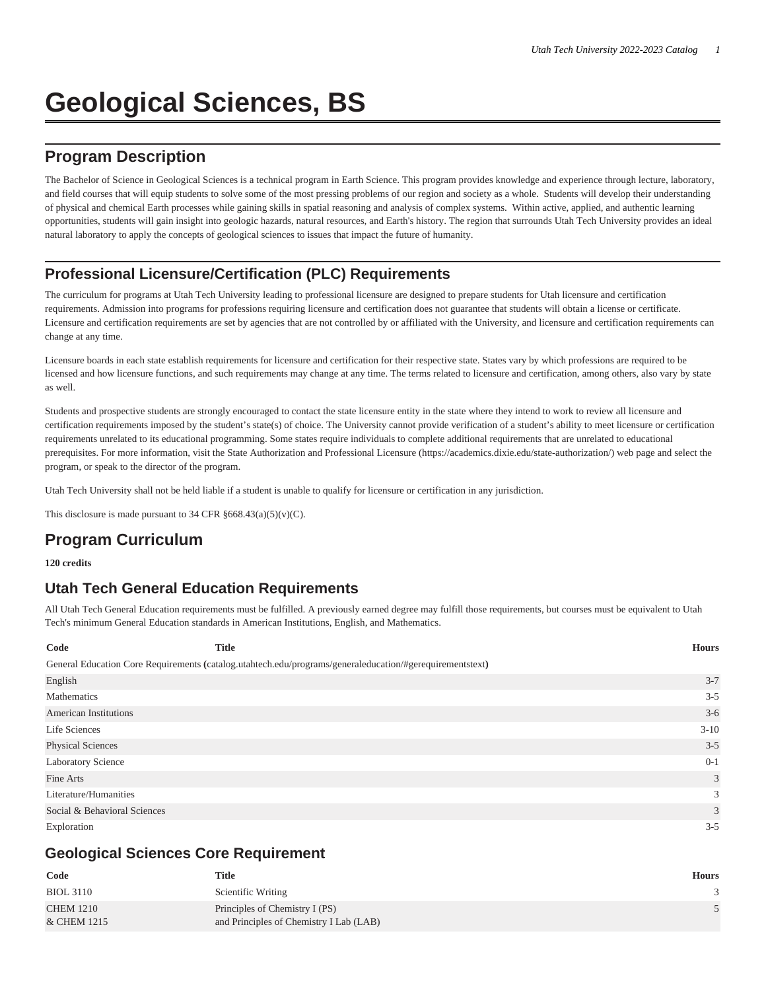# **Geological Sciences, BS**

# **Program Description**

The Bachelor of Science in Geological Sciences is a technical program in Earth Science. This program provides knowledge and experience through lecture, laboratory, and field courses that will equip students to solve some of the most pressing problems of our region and society as a whole. Students will develop their understanding of physical and chemical Earth processes while gaining skills in spatial reasoning and analysis of complex systems. Within active, applied, and authentic learning opportunities, students will gain insight into geologic hazards, natural resources, and Earth's history. The region that surrounds Utah Tech University provides an ideal natural laboratory to apply the concepts of geological sciences to issues that impact the future of humanity.

## **Professional Licensure/Certification (PLC) Requirements**

The curriculum for programs at Utah Tech University leading to professional licensure are designed to prepare students for Utah licensure and certification requirements. Admission into programs for professions requiring licensure and certification does not guarantee that students will obtain a license or certificate. Licensure and certification requirements are set by agencies that are not controlled by or affiliated with the University, and licensure and certification requirements can change at any time.

Licensure boards in each state establish requirements for licensure and certification for their respective state. States vary by which professions are required to be licensed and how licensure functions, and such requirements may change at any time. The terms related to licensure and certification, among others, also vary by state as well.

Students and prospective students are strongly encouraged to contact the state licensure entity in the state where they intend to work to review all licensure and certification requirements imposed by the student's state(s) of choice. The University cannot provide verification of a student's ability to meet licensure or certification requirements unrelated to its educational programming. Some states require individuals to complete additional requirements that are unrelated to educational prerequisites. For more information, visit the [State Authorization and Professional Licensure](https://academics.dixie.edu/state-authorization/) ([https://academics.dixie.edu/state-authorization/\)](https://academics.dixie.edu/state-authorization/) web page and select the program, or speak to the director of the program.

Utah Tech University shall not be held liable if a student is unable to qualify for licensure or certification in any jurisdiction.

This disclosure is made pursuant to 34 CFR  $§668.43(a)(5)(v)(C)$ .

# **Program Curriculum**

#### **120 credits**

## **Utah Tech General Education Requirements**

All Utah Tech General Education requirements must be fulfilled. A previously earned degree may fulfill those requirements, but courses must be equivalent to Utah Tech's minimum General Education standards in American Institutions, English, and Mathematics.

| Code                         | <b>Title</b>                                                                                             | <b>Hours</b> |
|------------------------------|----------------------------------------------------------------------------------------------------------|--------------|
|                              | General Education Core Requirements (catalog.utahtech.edu/programs/generaleducation/#gerequirementstext) |              |
| English                      |                                                                                                          | $3 - 7$      |
| Mathematics                  |                                                                                                          | $3 - 5$      |
| <b>American Institutions</b> |                                                                                                          | $3-6$        |
| Life Sciences                |                                                                                                          | $3-10$       |
| <b>Physical Sciences</b>     |                                                                                                          | $3 - 5$      |
| <b>Laboratory Science</b>    |                                                                                                          | $0 - 1$      |
| Fine Arts                    |                                                                                                          | 3            |
| Literature/Humanities        |                                                                                                          | 3            |
| Social & Behavioral Sciences |                                                                                                          | 3            |
| Exploration                  |                                                                                                          | $3 - 5$      |

### **Geological Sciences Core Requirement**

| Code             | Title                                   | <b>Hours</b> |
|------------------|-----------------------------------------|--------------|
| <b>BIOL 3110</b> | Scientific Writing                      |              |
| <b>CHEM 1210</b> | Principles of Chemistry I (PS)          |              |
| & CHEM 1215      | and Principles of Chemistry I Lab (LAB) |              |